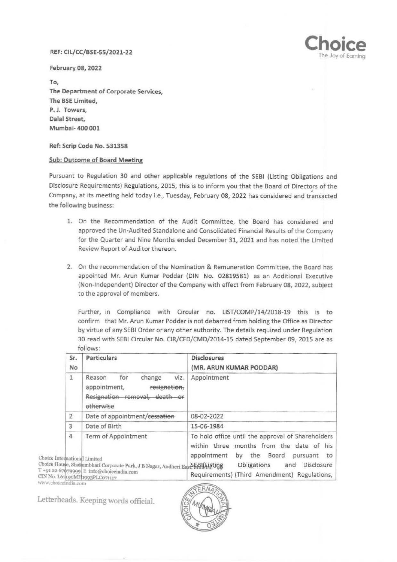## REF: Cll/CC/BSE-55/2021-22



February 08, 2022

To, The Department of Corporate Services, The BSE limited, P. J. Towers, Dalal Street, Mumbai- 400 001

Ref: Scrip Code No. 531358

## Sub: Outcome of Board Meeting

Pursuant to Regulation 30 and other applicable regulations of the SEBI (Listing Obligations and Disclosure Requirements) Regulations, 2015, this is to inform you that the Board of Directors of the Company, at its meeting held today i.e., Tuesday, February 08, 2022 has considered and transacted the following business:

- 1. On the Recommendation of the Audit Committee, the Board has considered and approved the Un-Audited Standalone and Consolidated Financial Results of the Company for the Quarter and Nine Months ended December 31, 2021 and has noted the limited Review Report of Auditor thereon.
- 2. On the recommendation of the Nomination & Remuneration Committee, the Board has appointed Mr. Arun Kumar Poddar (DIN No. 02819581) as an Additional Executive (Non-Independent) Director of the Company with effect from February 08, 2022, subject to the approval of members.

Further, in Compliance with Circular no. LIST/COMP/14/2018-19 this is to confirm that Mr. Arun Kumar Poddar is not debarred from holding the Office as Director by virtue of any SEBI Order or any other authority. The details required under Regulation 30 read with SEBI Circular No. CIR/CFD/CMD/2014-15 dated September 09, 2015 are as follows:

| Sr.<br>No                                                | Particulars                                                                                                                                                                        | <b>Disclosures</b><br>(MR. ARUN KUMAR PODDAR)                                                                                                                                                                                      |
|----------------------------------------------------------|------------------------------------------------------------------------------------------------------------------------------------------------------------------------------------|------------------------------------------------------------------------------------------------------------------------------------------------------------------------------------------------------------------------------------|
| $\mathbf{1}$                                             | for<br>change<br>viz.<br>Reason<br>resignation,<br>appointment,<br>Resignation removal, death or<br>etherwise                                                                      | Appointment                                                                                                                                                                                                                        |
| $\mathbf{2}$                                             | Date of appointment/cessation                                                                                                                                                      | 08-02-2022                                                                                                                                                                                                                         |
| 3                                                        | Date of Birth                                                                                                                                                                      | 15-06-1984                                                                                                                                                                                                                         |
| 4<br>Choice International Limited<br>www.choiceindia.com | Term of Appointment<br>Choice House, Shakambhari Corporate Park, J B Nagar, Andheri East SEBILListing<br>T +91 22 67079999 E info@choiceindia.com<br>CIN No. L67190MH1993PLC071117 | To hold office until the approval of Shareholders<br>within three months from the date of his<br>by the Board<br>appointment<br>pursuant<br>to<br>Obligations<br>Disclosure<br>and<br>Requirements) (Third Amendment) Regulations, |

Letterheads. Keeping words official.

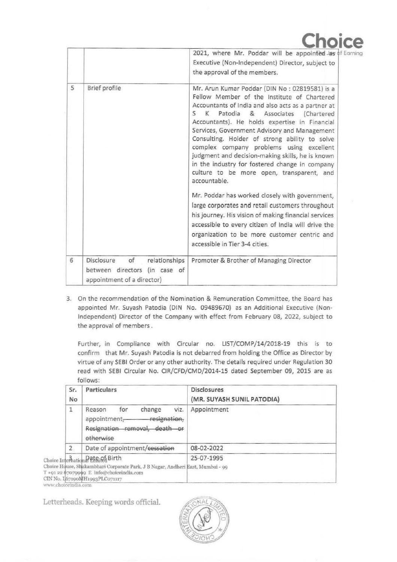|   |                                                                                                     | Choice<br>2021, where Mr. Poddar will be appointed Jas of Earning<br>Executive (Non-Independent) Director, subject to<br>the approval of the members.                                                                                                                                                                                                                                                                                                                                                                                                                                                                                                                                                                                                                                                                                                                    |
|---|-----------------------------------------------------------------------------------------------------|--------------------------------------------------------------------------------------------------------------------------------------------------------------------------------------------------------------------------------------------------------------------------------------------------------------------------------------------------------------------------------------------------------------------------------------------------------------------------------------------------------------------------------------------------------------------------------------------------------------------------------------------------------------------------------------------------------------------------------------------------------------------------------------------------------------------------------------------------------------------------|
| 5 | Brief profile                                                                                       | Mr. Arun Kumar Poddar (DIN No: 02819581) is a<br>Fellow Member of the Institute of Chartered<br>Accountants of India and also acts as a partner at<br>S.<br>K Patodia & Associates<br>(Chartered<br>Accountants). He holds expertise in Financial<br>Services, Government Advisory and Management<br>Consulting. Holder of strong ability to solve<br>complex company problems using excellent<br>judgment and decision-making skills, he is known<br>in the industry for fostered change in company<br>culture to be more open, transparent, and<br>accountable.<br>Mr. Poddar has worked closely with government,<br>large corporates and retail customers throughout<br>his journey. His vision of making financial services<br>accessible to every citizen of India will drive the<br>organization to be more customer centric and<br>accessible in Tier 3-4 cities. |
| 6 | Disclosure<br>of<br>relationships<br>between directors<br>(in case of<br>appointment of a director) | Promoter & Brother of Managing Director                                                                                                                                                                                                                                                                                                                                                                                                                                                                                                                                                                                                                                                                                                                                                                                                                                  |

3. On the recommendation of the Nomination & Remuneration Committee, the Board has appointed Mr. Suyash Patodia (DIN No. 09489670) as an Additional Executive (Non-Independent) Director of the Company with effect from February 08, 2022, subject to the approval of members .

Further, in Compliance with Circular no. UST/COMP/14/2018-19 this is to confirm that Mr. Suyash Patodia is not debarred from holding the Office as Director by virtue of any SEBI Order or any other authority. The details required under Regulation 30 read with SEBI Circular No. CIR/CFD/CMD/2014-15 dated September 09, 2015 are as follows:

| Sr.<br>No      | Particulars                                                                                                                                                                                     | <b>Disclosures</b><br>(MR. SUYASH SUNIL PATODIA) |
|----------------|-------------------------------------------------------------------------------------------------------------------------------------------------------------------------------------------------|--------------------------------------------------|
| 1              | viz.<br>for<br>change<br>Reason<br>resignation,<br>appointment-<br>Resignation removal,<br>death or<br>etherwise                                                                                | Appointment                                      |
| $\overline{2}$ | Date of appointment/cessation                                                                                                                                                                   | 08-02-2022                                       |
|                | Choice Internation Pate ph Birth<br>Choice House, Shakambhari Corporate Park, J B Nagar, Andheri East, Mumbai - 99<br>T +91 22 67079949 E info@choiceindia.com<br>CIN No. 167190MH1993PLC071117 | 25-07-1995                                       |

Letterheads. Keeping words official.

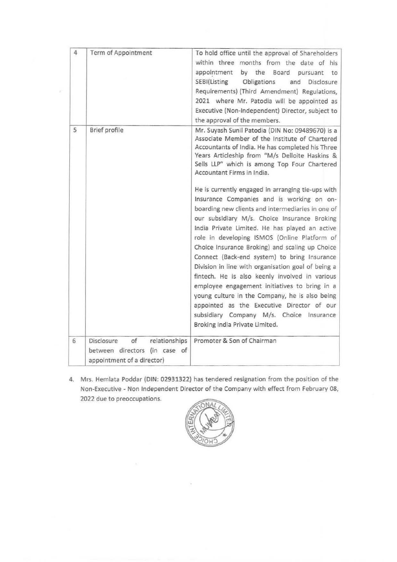| 4 | Term of Appointment                                                                              | To hold office until the approval of Shareholders<br>within three months from the date of his<br>appointment<br>by the Board pursuant<br>to<br>SEBI(Listing<br>Obligations<br>and<br>Disclosure<br>Requirements) (Third Amendment) Regulations,<br>2021 where Mr. Patodia will be appointed as<br>Executive (Non-Independent) Director, subject to<br>the approval of the members.                                                                                                                                                                                                                                                                                                                                                                                                                                                                                                                                                                                                                                                        |
|---|--------------------------------------------------------------------------------------------------|-------------------------------------------------------------------------------------------------------------------------------------------------------------------------------------------------------------------------------------------------------------------------------------------------------------------------------------------------------------------------------------------------------------------------------------------------------------------------------------------------------------------------------------------------------------------------------------------------------------------------------------------------------------------------------------------------------------------------------------------------------------------------------------------------------------------------------------------------------------------------------------------------------------------------------------------------------------------------------------------------------------------------------------------|
| 5 | Brief profile                                                                                    | Mr. Suyash Sunil Patodia (DIN No: 09489670) is a<br>Associate Member of the Institute of Chartered<br>Accountants of India. He has completed his Three<br>Years Articleship from "M/s Delloite Haskins &<br>Sells LLP" which is among Top Four Chartered<br>Accountant Firms in India.<br>He is currently engaged in arranging tie-ups with<br>Insurance Companies and is working on on-<br>boarding new clients and intermediaries in one of<br>our subsidiary M/s. Choice Insurance Broking<br>India Private Limited. He has played an active<br>role in developing ISMOS (Online Platform of<br>Choice Insurance Broking) and scaling up Choice<br>Connect (Back-end system) to bring Insurance<br>Division in line with organisation goal of being a<br>fintech. He is also keenly involved in various<br>employee engagement initiatives to bring in a<br>young culture in the Company, he is also being<br>appointed as the Executive Director of our<br>subsidiary Company M/s. Choice Insurance<br>Broking India Private Limited. |
| 6 | Disclosure<br>of<br>relationships<br>between directors (in case of<br>appointment of a director) | Promoter & Son of Chairman                                                                                                                                                                                                                                                                                                                                                                                                                                                                                                                                                                                                                                                                                                                                                                                                                                                                                                                                                                                                                |

4. Mrs. Hemlata Poddar (DIN: 02931322) has tendered resignation from the position of the Non-Executive - Non Independent Director of the Company with effect from February 08, 2022 due to preoccupations.